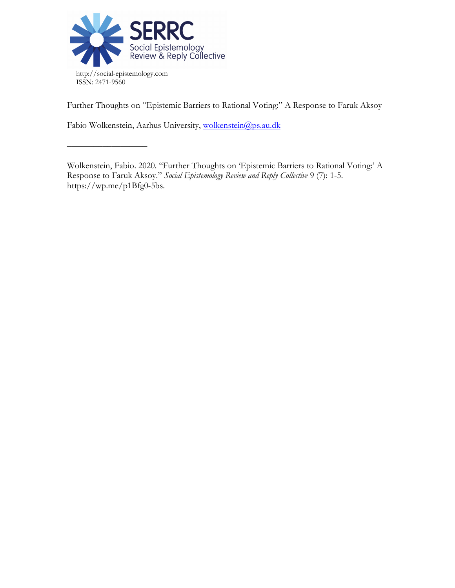

––––––––––––––––––

Further Thoughts on "Epistemic Barriers to Rational Voting:" A Response to Faruk Aksoy

Fabio Wolkenstein, Aarhus University, wolkenstein@ps.au.dk

Wolkenstein, Fabio. 2020. "Further Thoughts on 'Epistemic Barriers to Rational Voting:' A Response to Faruk Aksoy." *Social Epistemology Review and Reply Collective* 9 (7): 1-5. https://wp.me/p1Bfg0-5bs.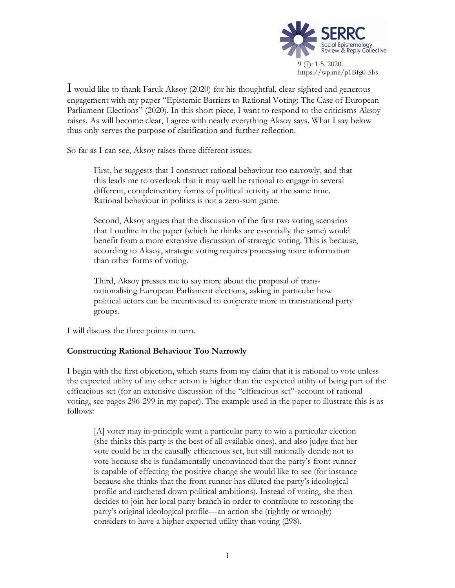

I would like to thank Faruk Aksoy (2020) for his thoughtful, clear-sighted and generous engagement with my paper "Epistemic Barriers to Rational Voting: The Case of European Parliament Elections" (2020). In this short piece, I want to respond to the criticisms Aksoy raises. As will become clear, I agree with nearly everything Aksoy says. What I say below thus only serves the purpose of clarification and further reflection.

So far as I can see, Aksoy raises three different issues:

First, he suggests that I construct rational behaviour too narrowly, and that this leads me to overlook that it may well be rational to engage in several different, complementary forms of political activity at the same time. Rational behaviour in politics is not a zero-sum game.

Second, Aksoy argues that the discussion of the first two voting scenarios that I outline in the paper (which he thinks are essentially the same) would benefit from a more extensive discussion of strategic voting. This is because, according to Aksoy, strategic voting requires processing more information than other forms of voting.

Third, Aksoy presses me to say more about the proposal of transnationalising European Parliament elections, asking in particular how political actors can be incentivised to cooperate more in transnational party groups.

I will discuss the three points in turn.

# **Constructing Rational Behaviour Too Narrowly**

I begin with the first objection, which starts from my claim that it is rational to vote unless the expected utility of any other action is higher than the expected utility of being part of the efficacious set (for an extensive discussion of the "efficacious set"-account of rational voting, see pages 296-299 in my paper). The example used in the paper to illustrate this is as follows:

[A] voter may in-principle want a particular party to win a particular election (she thinks this party is the best of all available ones), and also judge that her vote could be in the causally efficacious set, but still rationally decide not to vote because she is fundamentally unconvinced that the party's front runner is capable of effecting the positive change she would like to see (for instance because she thinks that the front runner has diluted the party's ideological profile and ratcheted down political ambitions). Instead of voting, she then decides to join her local party branch in order to contribute to restoring the party's original ideological profile—an action she (rightly or wrongly) considers to have a higher expected utility than voting (298).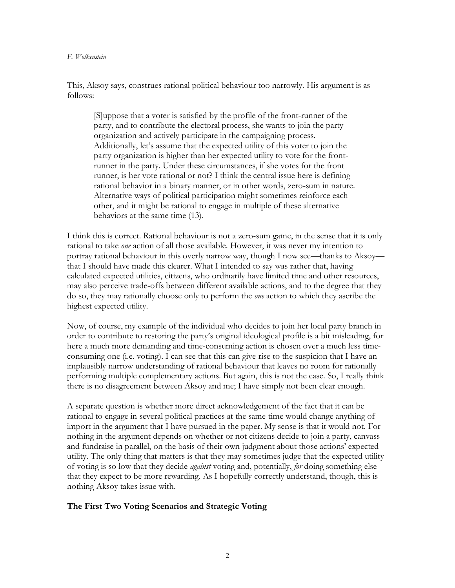#### *F. Wolkenstein*

This, Aksoy says, construes rational political behaviour too narrowly. His argument is as follows:

[S]uppose that a voter is satisfied by the profile of the front-runner of the party, and to contribute the electoral process, she wants to join the party organization and actively participate in the campaigning process. Additionally, let's assume that the expected utility of this voter to join the party organization is higher than her expected utility to vote for the frontrunner in the party. Under these circumstances, if she votes for the front runner, is her vote rational or not? I think the central issue here is defining rational behavior in a binary manner, or in other words, zero-sum in nature. Alternative ways of political participation might sometimes reinforce each other, and it might be rational to engage in multiple of these alternative behaviors at the same time (13).

I think this is correct. Rational behaviour is not a zero-sum game, in the sense that it is only rational to take *one* action of all those available. However, it was never my intention to portray rational behaviour in this overly narrow way, though I now see—thanks to Aksoy that I should have made this clearer. What I intended to say was rather that, having calculated expected utilities, citizens, who ordinarily have limited time and other resources, may also perceive trade-offs between different available actions, and to the degree that they do so, they may rationally choose only to perform the *one* action to which they ascribe the highest expected utility.

Now, of course, my example of the individual who decides to join her local party branch in order to contribute to restoring the party's original ideological profile is a bit misleading, for here a much more demanding and time-consuming action is chosen over a much less timeconsuming one (i.e. voting). I can see that this can give rise to the suspicion that I have an implausibly narrow understanding of rational behaviour that leaves no room for rationally performing multiple complementary actions. But again, this is not the case. So, I really think there is no disagreement between Aksoy and me; I have simply not been clear enough.

A separate question is whether more direct acknowledgement of the fact that it can be rational to engage in several political practices at the same time would change anything of import in the argument that I have pursued in the paper. My sense is that it would not. For nothing in the argument depends on whether or not citizens decide to join a party, canvass and fundraise in parallel, on the basis of their own judgment about those actions' expected utility. The only thing that matters is that they may sometimes judge that the expected utility of voting is so low that they decide *against* voting and, potentially, *for* doing something else that they expect to be more rewarding. As I hopefully correctly understand, though, this is nothing Aksoy takes issue with.

## **The First Two Voting Scenarios and Strategic Voting**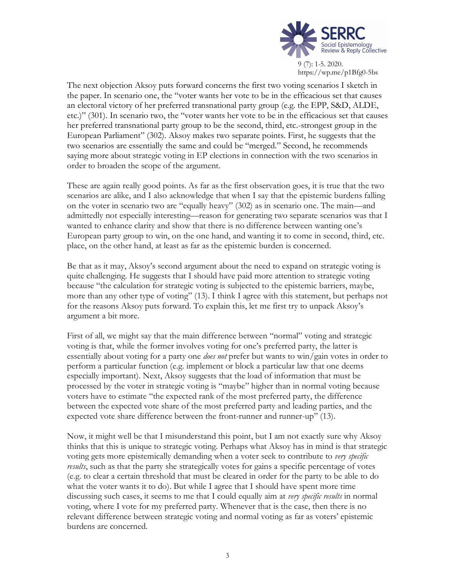

The next objection Aksoy puts forward concerns the first two voting scenarios I sketch in the paper. In scenario one, the "voter wants her vote to be in the efficacious set that causes an electoral victory of her preferred transnational party group (e.g. the EPP, S&D, ALDE, etc.)" (301). In scenario two, the "voter wants her vote to be in the efficacious set that causes her preferred transnational party group to be the second, third, etc.-strongest group in the European Parliament" (302). Aksoy makes two separate points. First, he suggests that the two scenarios are essentially the same and could be "merged." Second, he recommends saying more about strategic voting in EP elections in connection with the two scenarios in order to broaden the scope of the argument.

These are again really good points. As far as the first observation goes, it is true that the two scenarios are alike, and I also acknowledge that when I say that the epistemic burdens falling on the voter in scenario two are "equally heavy" (302) as in scenario one. The main—and admittedly not especially interesting—reason for generating two separate scenarios was that I wanted to enhance clarity and show that there is no difference between wanting one's European party group to win, on the one hand, and wanting it to come in second, third, etc. place, on the other hand, at least as far as the epistemic burden is concerned.

Be that as it may, Aksoy's second argument about the need to expand on strategic voting is quite challenging. He suggests that I should have paid more attention to strategic voting because "the calculation for strategic voting is subjected to the epistemic barriers, maybe, more than any other type of voting" (13). I think I agree with this statement, but perhaps not for the reasons Aksoy puts forward. To explain this, let me first try to unpack Aksoy's argument a bit more.

First of all, we might say that the main difference between "normal" voting and strategic voting is that, while the former involves voting for one's preferred party, the latter is essentially about voting for a party one *does not* prefer but wants to win/gain votes in order to perform a particular function (e.g. implement or block a particular law that one deems especially important). Next, Aksoy suggests that the load of information that must be processed by the voter in strategic voting is "maybe" higher than in normal voting because voters have to estimate "the expected rank of the most preferred party, the difference between the expected vote share of the most preferred party and leading parties, and the expected vote share difference between the front-runner and runner-up" (13).

Now, it might well be that I misunderstand this point, but I am not exactly sure why Aksoy thinks that this is unique to strategic voting. Perhaps what Aksoy has in mind is that strategic voting gets more epistemically demanding when a voter seek to contribute to *very specific results*, such as that the party she strategically votes for gains a specific percentage of votes (e.g. to clear a certain threshold that must be cleared in order for the party to be able to do what the voter wants it to do). But while I agree that I should have spent more time discussing such cases, it seems to me that I could equally aim at *very specific results* in normal voting, where I vote for my preferred party. Whenever that is the case, then there is no relevant difference between strategic voting and normal voting as far as voters' epistemic burdens are concerned.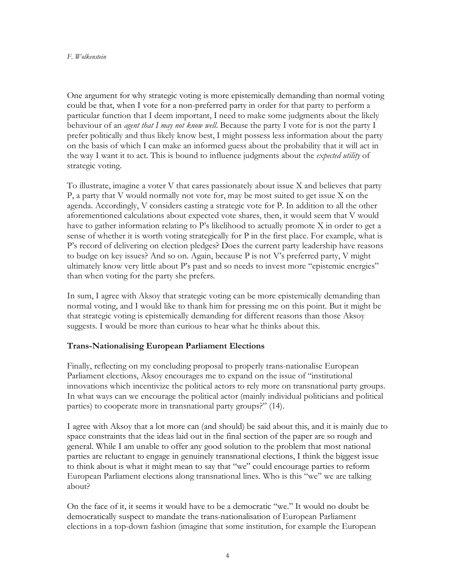#### *F. Wolkenstein*

One argument for why strategic voting is more epistemically demanding than normal voting could be that, when I vote for a non-preferred party in order for that party to perform a particular function that I deem important, I need to make some judgments about the likely behaviour of an *agent that I may not know well*. Because the party I vote for is not the party I prefer politically and thus likely know best, I might possess less information about the party on the basis of which I can make an informed guess about the probability that it will act in the way I want it to act. This is bound to influence judgments about the *expected utility* of strategic voting.

To illustrate, imagine a voter V that cares passionately about issue X and believes that party P, a party that V would normally not vote for, may be most suited to get issue X on the agenda. Accordingly, V considers casting a strategic vote for P. In addition to all the other aforementioned calculations about expected vote shares, then, it would seem that V would have to gather information relating to P's likelihood to actually promote X in order to get a sense of whether it is worth voting strategically for P in the first place. For example, what is P's record of delivering on election pledges? Does the current party leadership have reasons to budge on key issues? And so on. Again, because P is not V's preferred party, V might ultimately know very little about P's past and so needs to invest more "epistemic energies" than when voting for the party she prefers.

In sum, I agree with Aksoy that strategic voting can be more epistemically demanding than normal voting, and I would like to thank him for pressing me on this point. But it might be that strategic voting is epistemically demanding for different reasons than those Aksoy suggests. I would be more than curious to hear what he thinks about this.

## **Trans-Nationalising European Parliament Elections**

Finally, reflecting on my concluding proposal to properly trans-nationalise European Parliament elections, Aksoy encourages me to expand on the issue of "institutional innovations which incentivize the political actors to rely more on transnational party groups. In what ways can we encourage the political actor (mainly individual politicians and political parties) to cooperate more in transnational party groups?" (14).

I agree with Aksoy that a lot more can (and should) be said about this, and it is mainly due to space constraints that the ideas laid out in the final section of the paper are so rough and general. While I am unable to offer any good solution to the problem that most national parties are reluctant to engage in genuinely transnational elections, I think the biggest issue to think about is what it might mean to say that "we" could encourage parties to reform European Parliament elections along transnational lines. Who is this "we" we are talking about?

On the face of it, it seems it would have to be a democratic "we." It would no doubt be democratically suspect to mandate the trans-nationalisation of European Parliament elections in a top-down fashion (imagine that some institution, for example the European